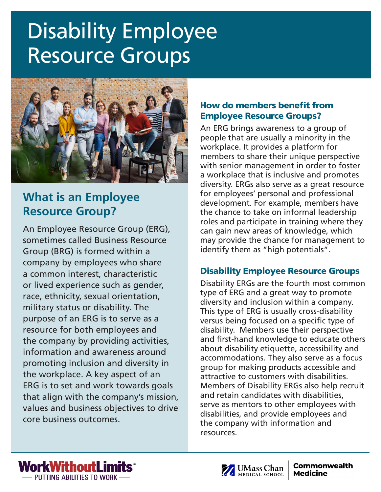# **Disability Employee** Resource Groups



# **What is an Employee Resource Group?**

An Employee Resource Group (ERG), sometimes called Business Resource Group (BRG) is formed within a company by employees who share a common interest, characteristic or lived experience such as gender, race, ethnicity, sexual orientation, military status or disability. The purpose of an ERG is to serve as a resource for both employees and the company by providing activities, information and awareness around promoting inclusion and diversity in the workplace. A key aspect of an ERG is to set and work towards goals that align with the company's mission, values and business objectives to drive core business outcomes.

## How do members benefit from Employee Resource Groups?

An ERG brings awareness to a group of people that are usually a minority in the workplace. It provides a platform for members to share their unique perspective with senior management in order to foster a workplace that is inclusive and promotes diversity. ERGs also serve as a great resource for employees' personal and professional development. For example, members have the chance to take on informal leadership roles and participate in training where they can gain new areas of knowledge, which may provide the chance for management to identify them as "high potentials".

# Disability Employee Resource Groups

Disability ERGs are the fourth most common type of ERG and a great way to promote diversity and inclusion within a company. This type of ERG is usually cross-disability versus being focused on a specific type of disability. Members use their perspective and first-hand knowledge to educate others about disability etiquette, accessibility and accommodations. They also serve as a focus group for making products accessible and attractive to customers with disabilities. Members of Disability ERGs also help recruit and retain candidates with disabilities, serve as mentors to other employees with disabilities, and provide employees and the company with information and resources.



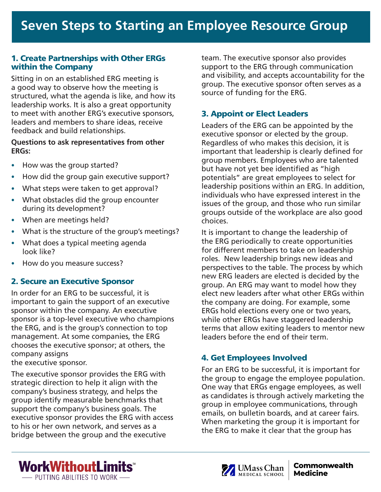#### 1. Create Partnerships with Other ERGs within the Company

Sitting in on an established ERG meeting is a good way to observe how the meeting is structured, what the agenda is like, and how its leadership works. It is also a great opportunity to meet with another ERG's executive sponsors, leaders and members to share ideas, receive feedback and build relationships.

#### **Questions to ask representatives from other ERGs:**

- How was the group started?
- How did the group gain executive support?
- What steps were taken to get approval?
- What obstacles did the group encounter during its development?
- When are meetings held?
- What is the structure of the group's meetings?
- What does a typical meeting agenda look like?
- How do you measure success?

#### 2. Secure an Executive Sponsor

In order for an ERG to be successful, it is important to gain the support of an executive sponsor within the company. An executive sponsor is a top-level executive who champions the ERG, and is the group's connection to top management. At some companies, the ERG chooses the executive sponsor; at others, the company assigns

the executive sponsor.

The executive sponsor provides the ERG with strategic direction to help it align with the company's business strategy, and helps the group identify measurable benchmarks that support the company's business goals. The executive sponsor provides the ERG with access to his or her own network, and serves as a bridge between the group and the executive

team. The executive sponsor also provides support to the ERG through communication and visibility, and accepts accountability for the group. The executive sponsor often serves as a source of funding for the ERG.

## 3. Appoint or Elect Leaders

Leaders of the ERG can be appointed by the executive sponsor or elected by the group. Regardless of who makes this decision, it is important that leadership is clearly defined for group members. Employees who are talented but have not yet bee identified as "high potentials" are great employees to select for leadership positions within an ERG. In addition, individuals who have expressed interest in the issues of the group, and those who run similar groups outside of the workplace are also good choices.

It is important to change the leadership of the ERG periodically to create opportunities for different members to take on leadership roles. New leadership brings new ideas and perspectives to the table. The process by which new ERG leaders are elected is decided by the group. An ERG may want to model how they elect new leaders after what other ERGs within the company are doing. For example, some ERGs hold elections every one or two years, while other ERGs have staggered leadership terms that allow exiting leaders to mentor new leaders before the end of their term.

#### 4. Get Employees Involved

For an ERG to be successful, it is important for the group to engage the employee population. One way that ERGs engage employees, as well as candidates is through actively marketing the group in employee communications, through emails, on bulletin boards, and at career fairs. When marketing the group it is important for the ERG to make it clear that the group has



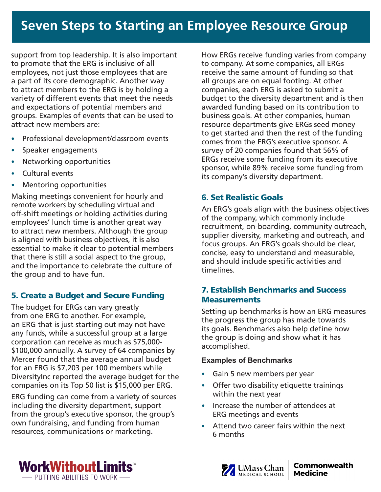support from top leadership. It is also important to promote that the ERG is inclusive of all employees, not just those employees that are a part of its core demographic. Another way to attract members to the ERG is by holding a variety of different events that meet the needs and expectations of potential members and groups. Examples of events that can be used to attract new members are:

- Professional development/classroom events
- Speaker engagements
- Networking opportunities
- Cultural events
- Mentoring opportunities

Making meetings convenient for hourly and remote workers by scheduling virtual and off-shift meetings or holding activities during employees' lunch time is another great way to attract new members. Although the group is aligned with business objectives, it is also essential to make it clear to potential members that there is still a social aspect to the group, and the importance to celebrate the culture of the group and to have fun.

# 5. Create a Budget and Secure Funding

The budget for ERGs can vary greatly from one ERG to another. For example, an ERG that is just starting out may not have any funds, while a successful group at a large corporation can receive as much as \$75,000- \$100,000 annually. A survey of 64 companies by Mercer found that the average annual budget for an ERG is \$7,203 per 100 members while DiversityInc reported the average budget for the companies on its Top 50 list is \$15,000 per ERG.

ERG funding can come from a variety of sources including the diversity department, support from the group's executive sponsor, the group's own fundraising, and funding from human resources, communications or marketing.

How ERGs receive funding varies from company to company. At some companies, all ERGs receive the same amount of funding so that all groups are on equal footing. At other companies, each ERG is asked to submit a budget to the diversity department and is then awarded funding based on its contribution to business goals. At other companies, human resource departments give ERGs seed money to get started and then the rest of the funding comes from the ERG's executive sponsor. A survey of 20 companies found that 56% of ERGs receive some funding from its executive sponsor, while 89% receive some funding from its company's diversity department.

# 6. Set Realistic Goals

An ERG's goals align with the business objectives of the company, which commonly include recruitment, on-boarding, community outreach, supplier diversity, marketing and outreach, and focus groups. An ERG's goals should be clear, concise, easy to understand and measurable, and should include specific activities and timelines.

#### 7. Establish Benchmarks and Success **Measurements**

Setting up benchmarks is how an ERG measures the progress the group has made towards its goals. Benchmarks also help define how the group is doing and show what it has accomplished.

#### **Examples of Benchmarks**

- Gain 5 new members per year
- Offer two disability etiquette trainings within the next year
- Increase the number of attendees at ERG meetings and events
- Attend two career fairs within the next 6 months